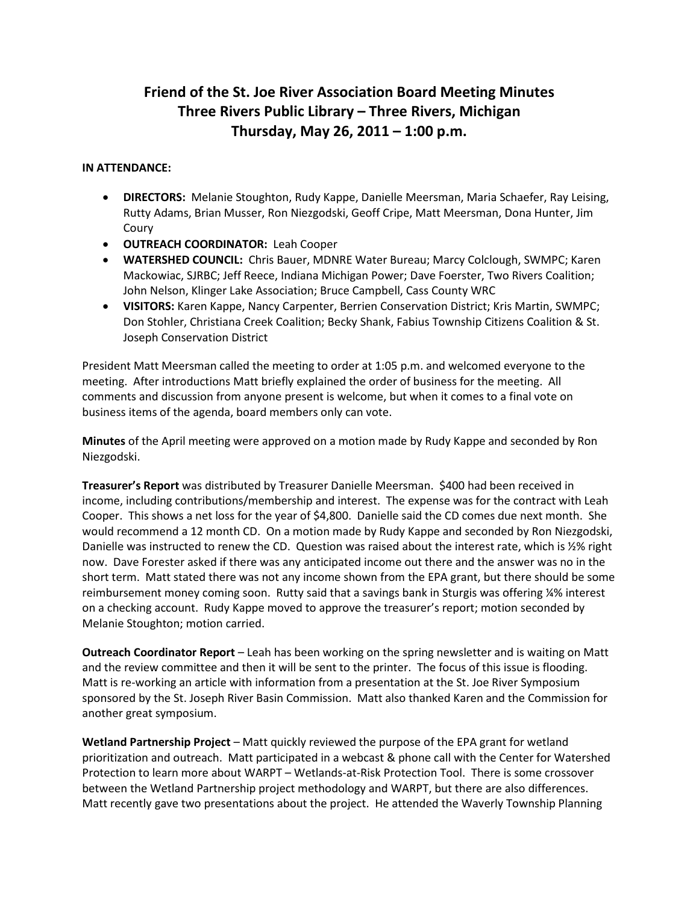## **Friend of the St. Joe River Association Board Meeting Minutes Three Rivers Public Library – Three Rivers, Michigan Thursday, May 26, 2011 – 1:00 p.m.**

## **IN ATTENDANCE:**

- **DIRECTORS:** Melanie Stoughton, Rudy Kappe, Danielle Meersman, Maria Schaefer, Ray Leising, Rutty Adams, Brian Musser, Ron Niezgodski, Geoff Cripe, Matt Meersman, Dona Hunter, Jim Coury
- **OUTREACH COORDINATOR:** Leah Cooper
- **WATERSHED COUNCIL:** Chris Bauer, MDNRE Water Bureau; Marcy Colclough, SWMPC; Karen Mackowiac, SJRBC; Jeff Reece, Indiana Michigan Power; Dave Foerster, Two Rivers Coalition; John Nelson, Klinger Lake Association; Bruce Campbell, Cass County WRC
- **VISITORS:** Karen Kappe, Nancy Carpenter, Berrien Conservation District; Kris Martin, SWMPC; Don Stohler, Christiana Creek Coalition; Becky Shank, Fabius Township Citizens Coalition & St. Joseph Conservation District

President Matt Meersman called the meeting to order at 1:05 p.m. and welcomed everyone to the meeting. After introductions Matt briefly explained the order of business for the meeting. All comments and discussion from anyone present is welcome, but when it comes to a final vote on business items of the agenda, board members only can vote.

**Minutes** of the April meeting were approved on a motion made by Rudy Kappe and seconded by Ron Niezgodski.

**Treasurer's Report** was distributed by Treasurer Danielle Meersman. \$400 had been received in income, including contributions/membership and interest. The expense was for the contract with Leah Cooper. This shows a net loss for the year of \$4,800. Danielle said the CD comes due next month. She would recommend a 12 month CD. On a motion made by Rudy Kappe and seconded by Ron Niezgodski, Danielle was instructed to renew the CD. Question was raised about the interest rate, which is ½% right now. Dave Forester asked if there was any anticipated income out there and the answer was no in the short term. Matt stated there was not any income shown from the EPA grant, but there should be some reimbursement money coming soon. Rutty said that a savings bank in Sturgis was offering ¼% interest on a checking account. Rudy Kappe moved to approve the treasurer's report; motion seconded by Melanie Stoughton; motion carried.

**Outreach Coordinator Report** – Leah has been working on the spring newsletter and is waiting on Matt and the review committee and then it will be sent to the printer. The focus of this issue is flooding. Matt is re-working an article with information from a presentation at the St. Joe River Symposium sponsored by the St. Joseph River Basin Commission. Matt also thanked Karen and the Commission for another great symposium.

**Wetland Partnership Project** – Matt quickly reviewed the purpose of the EPA grant for wetland prioritization and outreach. Matt participated in a webcast & phone call with the Center for Watershed Protection to learn more about WARPT – Wetlands-at-Risk Protection Tool. There is some crossover between the Wetland Partnership project methodology and WARPT, but there are also differences. Matt recently gave two presentations about the project. He attended the Waverly Township Planning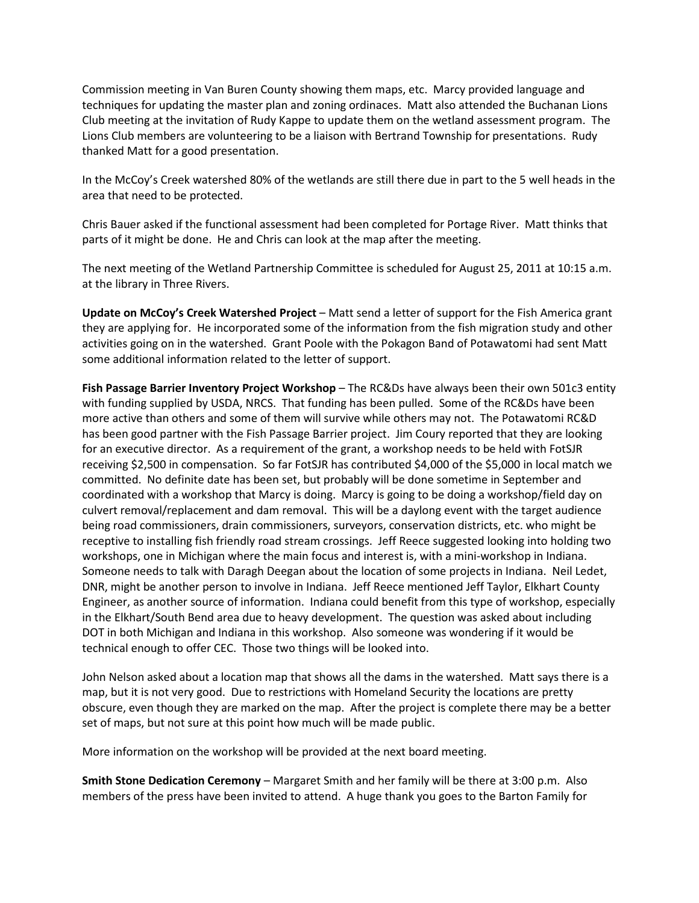Commission meeting in Van Buren County showing them maps, etc. Marcy provided language and techniques for updating the master plan and zoning ordinaces. Matt also attended the Buchanan Lions Club meeting at the invitation of Rudy Kappe to update them on the wetland assessment program. The Lions Club members are volunteering to be a liaison with Bertrand Township for presentations. Rudy thanked Matt for a good presentation.

In the McCoy's Creek watershed 80% of the wetlands are still there due in part to the 5 well heads in the area that need to be protected.

Chris Bauer asked if the functional assessment had been completed for Portage River. Matt thinks that parts of it might be done. He and Chris can look at the map after the meeting.

The next meeting of the Wetland Partnership Committee is scheduled for August 25, 2011 at 10:15 a.m. at the library in Three Rivers.

**Update on McCoy's Creek Watershed Project** – Matt send a letter of support for the Fish America grant they are applying for. He incorporated some of the information from the fish migration study and other activities going on in the watershed. Grant Poole with the Pokagon Band of Potawatomi had sent Matt some additional information related to the letter of support.

**Fish Passage Barrier Inventory Project Workshop** – The RC&Ds have always been their own 501c3 entity with funding supplied by USDA, NRCS. That funding has been pulled. Some of the RC&Ds have been more active than others and some of them will survive while others may not. The Potawatomi RC&D has been good partner with the Fish Passage Barrier project. Jim Coury reported that they are looking for an executive director. As a requirement of the grant, a workshop needs to be held with FotSJR receiving \$2,500 in compensation. So far FotSJR has contributed \$4,000 of the \$5,000 in local match we committed. No definite date has been set, but probably will be done sometime in September and coordinated with a workshop that Marcy is doing. Marcy is going to be doing a workshop/field day on culvert removal/replacement and dam removal. This will be a daylong event with the target audience being road commissioners, drain commissioners, surveyors, conservation districts, etc. who might be receptive to installing fish friendly road stream crossings. Jeff Reece suggested looking into holding two workshops, one in Michigan where the main focus and interest is, with a mini-workshop in Indiana. Someone needs to talk with Daragh Deegan about the location of some projects in Indiana. Neil Ledet, DNR, might be another person to involve in Indiana. Jeff Reece mentioned Jeff Taylor, Elkhart County Engineer, as another source of information. Indiana could benefit from this type of workshop, especially in the Elkhart/South Bend area due to heavy development. The question was asked about including DOT in both Michigan and Indiana in this workshop. Also someone was wondering if it would be technical enough to offer CEC. Those two things will be looked into.

John Nelson asked about a location map that shows all the dams in the watershed. Matt says there is a map, but it is not very good. Due to restrictions with Homeland Security the locations are pretty obscure, even though they are marked on the map. After the project is complete there may be a better set of maps, but not sure at this point how much will be made public.

More information on the workshop will be provided at the next board meeting.

**Smith Stone Dedication Ceremony** – Margaret Smith and her family will be there at 3:00 p.m. Also members of the press have been invited to attend. A huge thank you goes to the Barton Family for